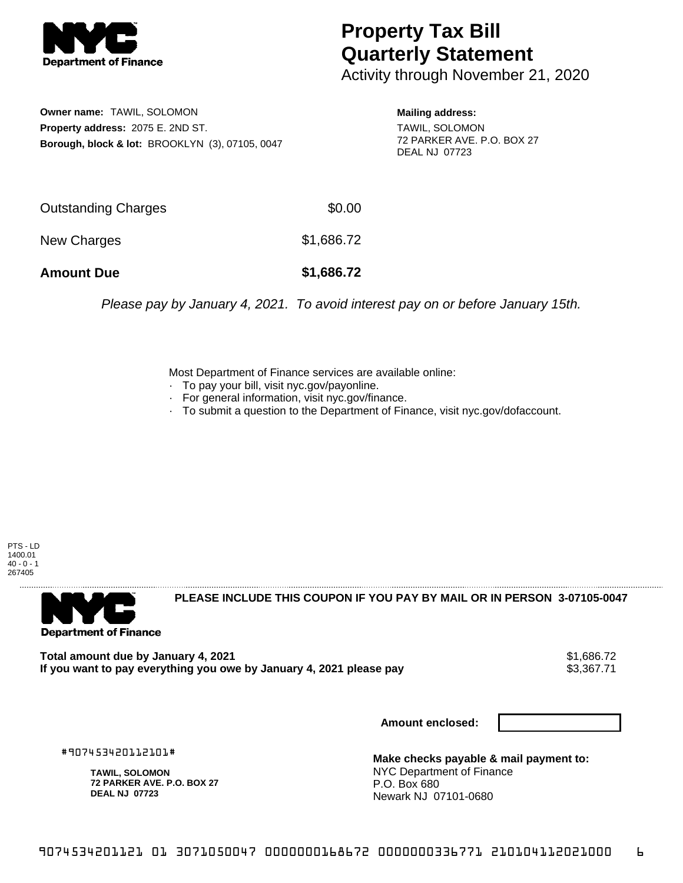

## **Property Tax Bill Quarterly Statement**

Activity through November 21, 2020

**Owner name:** TAWIL, SOLOMON **Property address:** 2075 E. 2ND ST. **Borough, block & lot:** BROOKLYN (3), 07105, 0047 **Mailing address:**

TAWIL, SOLOMON 72 PARKER AVE. P.O. BOX 27 DEAL NJ 07723

| <b>Amount Due</b>          | \$1,686.72 |
|----------------------------|------------|
| New Charges                | \$1,686.72 |
| <b>Outstanding Charges</b> | \$0.00     |

Please pay by January 4, 2021. To avoid interest pay on or before January 15th.

Most Department of Finance services are available online:

- · To pay your bill, visit nyc.gov/payonline.
- For general information, visit nyc.gov/finance.
- · To submit a question to the Department of Finance, visit nyc.gov/dofaccount.

PTS - LD 1400.01  $40 - 0 - 1$ 267405



**PLEASE INCLUDE THIS COUPON IF YOU PAY BY MAIL OR IN PERSON 3-07105-0047** 

**Total amount due by January 4, 2021**<br>If you want to pay everything you owe by January 4, 2021 please pay **show that the summer way of the set of** \$3,367.71 If you want to pay everything you owe by January 4, 2021 please pay

**Amount enclosed:**

#907453420112101#

**TAWIL, SOLOMON 72 PARKER AVE. P.O. BOX 27 DEAL NJ 07723**

**Make checks payable & mail payment to:** NYC Department of Finance P.O. Box 680 Newark NJ 07101-0680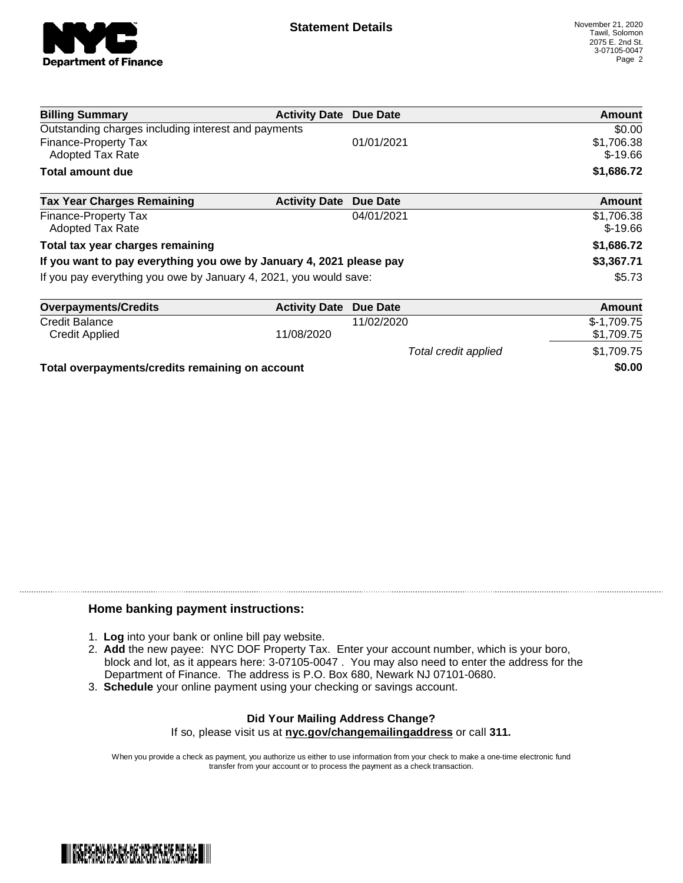

Total credit applied  $$1,709.75$ 

| <b>Billing Summary</b>                                              | <b>Activity Date Due Date</b> |            | Amount                  |
|---------------------------------------------------------------------|-------------------------------|------------|-------------------------|
| Outstanding charges including interest and payments                 |                               |            | \$0.00                  |
| <b>Finance-Property Tax</b><br><b>Adopted Tax Rate</b>              |                               | 01/01/2021 | \$1,706.38<br>$$-19.66$ |
| Total amount due                                                    |                               |            | \$1,686.72              |
| <b>Tax Year Charges Remaining</b>                                   | <b>Activity Date Due Date</b> |            | <b>Amount</b>           |
| Finance-Property Tax<br><b>Adopted Tax Rate</b>                     |                               | 04/01/2021 | \$1,706.38<br>$$-19.66$ |
| Total tax year charges remaining                                    |                               |            | \$1,686.72              |
| If you want to pay everything you owe by January 4, 2021 please pay |                               |            | \$3,367.71              |
| If you pay everything you owe by January 4, 2021, you would save:   |                               |            | \$5.73                  |
| <b>Overpayments/Credits</b>                                         | <b>Activity Date</b>          | Due Date   | Amount                  |
| <b>Credit Balance</b>                                               |                               | 11/02/2020 | $$-1,709.75$            |

Credit Applied 11/08/2020 \$1,709.75

**Total overpayments/credits remaining on account \$0.00**

## **Home banking payment instructions:**

- 1. **Log** into your bank or online bill pay website.
- 2. **Add** the new payee: NYC DOF Property Tax. Enter your account number, which is your boro, block and lot, as it appears here: 3-07105-0047 . You may also need to enter the address for the Department of Finance. The address is P.O. Box 680, Newark NJ 07101-0680.
- 3. **Schedule** your online payment using your checking or savings account.

## **Did Your Mailing Address Change?** If so, please visit us at **nyc.gov/changemailingaddress** or call **311.**

When you provide a check as payment, you authorize us either to use information from your check to make a one-time electronic fund

transfer from your account or to process the payment as a check transaction.